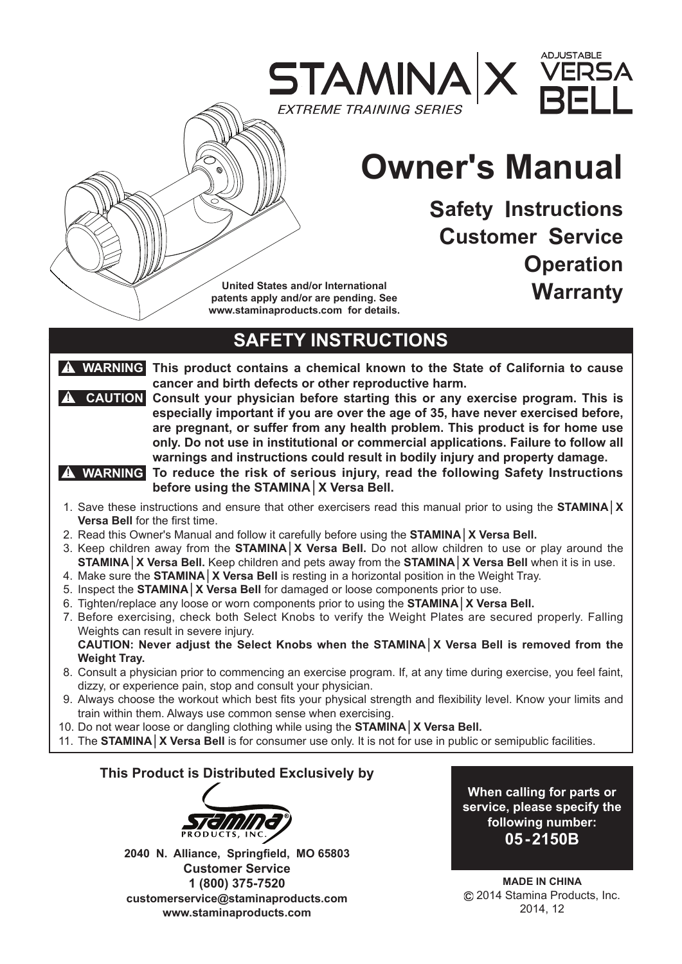

# **Owner's Manual**

**Safety Instructions Customer Service Operation Warranty**

**United States and/or International patents apply and/or are pending. See www.staminaproducts.com for details.**

# **SAFETY INSTRUCTIONS**

**! WARNING This product contains a chemical known to the State of California to cause cancer and birth defects or other reproductive harm.**

**R** CAUTION Consult your physician before starting this or any exercise program. This is **especially important if you are over the age of 35, have never exercised before, are pregnant, or suffer from any health problem. This product is for home use only. Do not use in institutional or commercial applications. Failure to follow all warnings and instructions could result in bodily injury and property damage.**

**To reduce the risk of serious injury, read the following Safety Instructions ! WARNING before using the STAMINA│X Versa Bell.**

- 1. Save these instructions and ensure that other exercisers read this manual prior to using the **STAMINA│X Versa Bell** for the first time.
- 2. Read this Owner's Manual and follow it carefully before using the **STAMINA│X Versa Bell.**
- 3. Keep children away from the **STAMINA│X Versa Bell.** Do not allow children to use or play around the **STAMINA│X Versa Bell.** Keep children and pets away from the **STAMINA│X Versa Bell** when it is in use.
- 4. Make sure the **STAMINA│X Versa Bell** is resting in a horizontal position in the Weight Tray.
- 5. Inspect the **STAMINA│X Versa Bell** for damaged or loose components prior to use.
- 6. Tighten/replace any loose or worn components prior to using the **STAMINA│X Versa Bell.**
- 7. Before exercising, check both Select Knobs to verify the Weight Plates are secured properly. Falling Weights can result in severe injury.

**CAUTION: Never adjust the Select Knobs when the STAMINA│X Versa Bell is removed from the Weight Tray.**

- 8. Consult a physician prior to commencing an exercise program. If, at any time during exercise, you feel faint, dizzy, or experience pain, stop and consult your physician.
- 9. Always choose the workout which best fits your physical strength and flexibility level. Know your limits and train within them. Always use common sense when exercising.
- 10. Do not wear loose or dangling clothing while using the **STAMINA│X Versa Bell.**
- 11. The **STAMINA│X Versa Bell** is for consumer use only. It is not for use in public or semipublic facilities.

### **This Product is Distributed Exclusively by**



**2040 N. Alliance, Springfield, MO 65803 Customer Service 1 (800) 375-7520 customerservice@staminaproducts.com www.staminaproducts.com**

**When calling for parts or service, please specify the following number: 05-2150B**

**MADE IN CHINA** 2014 Stamina Products, Inc. 2014, 12